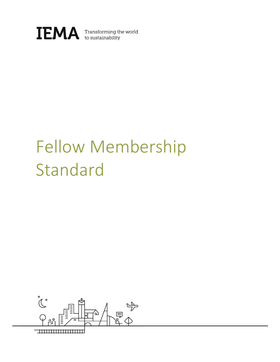

# Fellow Membership Standard

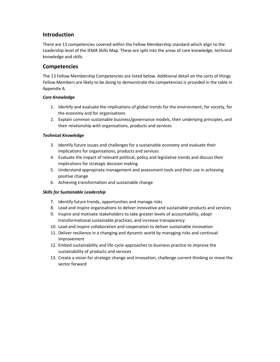## Introduction

There are 13 competencies covered within the Fellow Membership standard which align to the Leadership level of the IEMA Skills Map. These are split into the areas of core knowledge, technical knowledge and skills.

### Competencies

The 13 Fellow Membership Competencies are listed below. Additional detail on the sorts of things Fellow Members are likely to be doing to demonstrate the competencies is provided in the table in Appendix A.

#### Core Knowledge

- 1. Identify and evaluate the implications of global trends for the environment, for society, for the economy and for organisations
- 2. Explain common sustainable business/governance models, their underlying principles, and their relationship with organisations, products and services

#### Technical Knowledge

- 3. Identify future issues and challenges for a sustainable economy and evaluate their implications for organisations, products and services
- 4. Evaluate the impact of relevant political, policy and legislative trends and discuss their implications for strategic decision making
- 5. Understand appropriate management and assessment tools and their use in achieving positive change
- 6. Achieving transformation and sustainable change

#### Skills for Sustainable Leadership

- 7. Identify future trends, opportunities and manage risks
- 8. Lead and inspire organisations to deliver innovative and sustainable products and services
- 9. Inspire and motivate stakeholders to take greater levels of accountability, adopt transformational sustainable practices, and increase transparency
- 10. Lead and inspire collaboration and cooperation to deliver sustainable innovation
- 11. Deliver resilience in a changing and dynamic world by managing risks and continual improvement
- 12. Embed sustainability and life cycle approaches to business practice to improve the sustainability of products and services
- 13. Create a vision for strategic change and innovation, challenge current thinking or move the sector forward